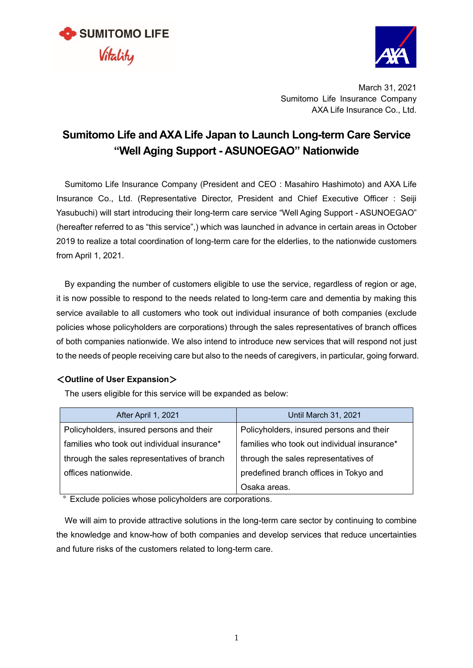



March 31, 2021 Sumitomo Life Insurance Company AXA Life Insurance Co., Ltd.

## **Sumitomo Life and AXA Life Japan to Launch Long-term Care Service "Well Aging Support - ASUNOEGAO" Nationwide**

Sumitomo Life Insurance Company (President and CEO : Masahiro Hashimoto) and AXA Life Insurance Co., Ltd. (Representative Director, President and Chief Executive Officer : Seiji Yasubuchi) will start introducing their long-term care service "Well Aging Support - ASUNOEGAO" (hereafter referred to as "this service",) which was launched in advance in certain areas in October 2019 to realize a total coordination of long-term care for the elderlies, to the nationwide customers from April 1, 2021.

By expanding the number of customers eligible to use the service, regardless of region or age, it is now possible to respond to the needs related to long-term care and dementia by making this service available to all customers who took out individual insurance of both companies (exclude policies whose policyholders are corporations) through the sales representatives of branch offices of both companies nationwide. We also intend to introduce new services that will respond not just to the needs of people receiving care but also to the needs of caregivers, in particular, going forward.

## <**Outline of User Expansion**>

The users eligible for this service will be expanded as below:

| After April 1, 2021                         | <b>Until March 31, 2021</b>                 |  |
|---------------------------------------------|---------------------------------------------|--|
| Policyholders, insured persons and their    | Policyholders, insured persons and their    |  |
| families who took out individual insurance* | families who took out individual insurance* |  |
| through the sales representatives of branch | through the sales representatives of        |  |
| offices nationwide.                         | predefined branch offices in Tokyo and      |  |
|                                             | Osaka areas.                                |  |

\* Exclude policies whose policyholders are corporations.

We will aim to provide attractive solutions in the long-term care sector by continuing to combine the knowledge and know-how of both companies and develop services that reduce uncertainties and future risks of the customers related to long-term care.